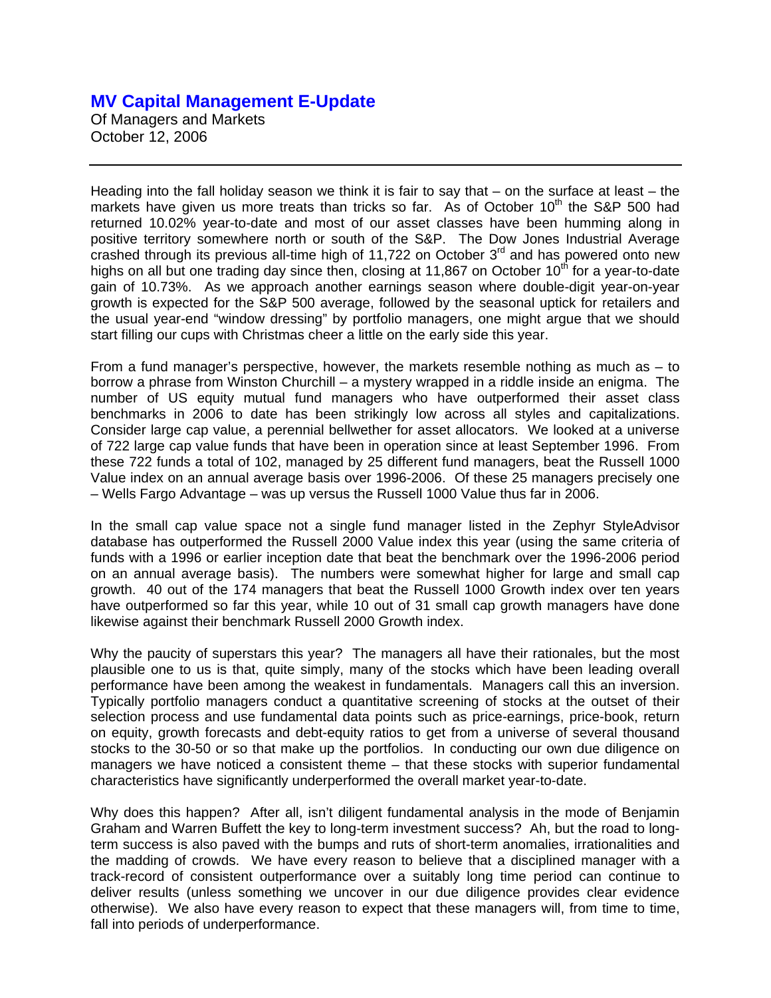## **MV Capital Management E-Update**

Of Managers and Markets October 12, 2006

Heading into the fall holiday season we think it is fair to say that – on the surface at least – the markets have given us more treats than tricks so far. As of October  $10<sup>th</sup>$  the S&P 500 had returned 10.02% year-to-date and most of our asset classes have been humming along in positive territory somewhere north or south of the S&P. The Dow Jones Industrial Average crashed through its previous all-time high of 11,722 on October  $3<sup>rd</sup>$  and has powered onto new highs on all but one trading day since then, closing at 11,867 on October  $10<sup>th</sup>$  for a year-to-date gain of 10.73%. As we approach another earnings season where double-digit year-on-year growth is expected for the S&P 500 average, followed by the seasonal uptick for retailers and the usual year-end "window dressing" by portfolio managers, one might argue that we should start filling our cups with Christmas cheer a little on the early side this year.

From a fund manager's perspective, however, the markets resemble nothing as much as – to borrow a phrase from Winston Churchill – a mystery wrapped in a riddle inside an enigma. The number of US equity mutual fund managers who have outperformed their asset class benchmarks in 2006 to date has been strikingly low across all styles and capitalizations. Consider large cap value, a perennial bellwether for asset allocators. We looked at a universe of 722 large cap value funds that have been in operation since at least September 1996. From these 722 funds a total of 102, managed by 25 different fund managers, beat the Russell 1000 Value index on an annual average basis over 1996-2006. Of these 25 managers precisely one – Wells Fargo Advantage – was up versus the Russell 1000 Value thus far in 2006.

In the small cap value space not a single fund manager listed in the Zephyr StyleAdvisor database has outperformed the Russell 2000 Value index this year (using the same criteria of funds with a 1996 or earlier inception date that beat the benchmark over the 1996-2006 period on an annual average basis). The numbers were somewhat higher for large and small cap growth. 40 out of the 174 managers that beat the Russell 1000 Growth index over ten years have outperformed so far this year, while 10 out of 31 small cap growth managers have done likewise against their benchmark Russell 2000 Growth index.

Why the paucity of superstars this year? The managers all have their rationales, but the most plausible one to us is that, quite simply, many of the stocks which have been leading overall performance have been among the weakest in fundamentals. Managers call this an inversion. Typically portfolio managers conduct a quantitative screening of stocks at the outset of their selection process and use fundamental data points such as price-earnings, price-book, return on equity, growth forecasts and debt-equity ratios to get from a universe of several thousand stocks to the 30-50 or so that make up the portfolios. In conducting our own due diligence on managers we have noticed a consistent theme – that these stocks with superior fundamental characteristics have significantly underperformed the overall market year-to-date.

Why does this happen? After all, isn't diligent fundamental analysis in the mode of Benjamin Graham and Warren Buffett the key to long-term investment success? Ah, but the road to longterm success is also paved with the bumps and ruts of short-term anomalies, irrationalities and the madding of crowds. We have every reason to believe that a disciplined manager with a track-record of consistent outperformance over a suitably long time period can continue to deliver results (unless something we uncover in our due diligence provides clear evidence otherwise). We also have every reason to expect that these managers will, from time to time, fall into periods of underperformance.